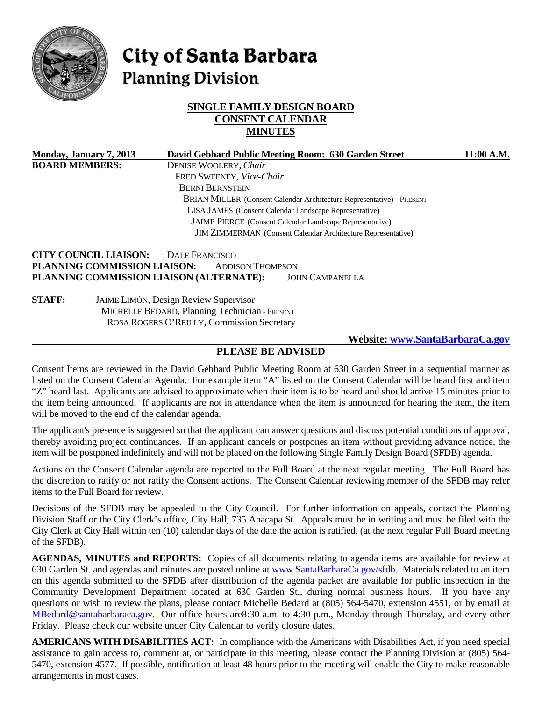

# City of Santa Barbara **Planning Division**

# **SINGLE FAMILY DESIGN BOARD CONSENT CALENDAR MINUTES**

| Monday, January 7, 2013                                         | David Gebhard Public Meeting Room: 630 Garden Street                  | 11:00 A.M. |  |
|-----------------------------------------------------------------|-----------------------------------------------------------------------|------------|--|
| <b>BOARD MEMBERS:</b>                                           | DENISE WOOLERY, Chair                                                 |            |  |
|                                                                 | FRED SWEENEY, Vice-Chair                                              |            |  |
|                                                                 | <b>BERNI BERNSTEIN</b>                                                |            |  |
|                                                                 | BRIAN MILLER (Consent Calendar Architecture Representative) - PRESENT |            |  |
|                                                                 | LISA JAMES (Consent Calendar Landscape Representative)                |            |  |
| <b>JAIME PIERCE</b> (Consent Calendar Landscape Representative) |                                                                       |            |  |
|                                                                 | <b>JIM ZIMMERMAN</b> (Consent Calendar Architecture Representative)   |            |  |
| <b>CITY COUNCIL LIAISON:</b>                                    | DALE FRANCISCO                                                        |            |  |
|                                                                 | PLANNING COMMISSION LIAISON:<br><b>ADDISON THOMPSON</b>               |            |  |
|                                                                 | PLANNING COMMISSION LIAISON (ALTERNATE):<br><b>JOHN CAMPANELLA</b>    |            |  |
| <b>STAFF:</b>                                                   | <b>JAIME LIMÓN, Design Review Supervisor</b>                          |            |  |
|                                                                 | MICHELLE BEDARD, Planning Technician - PRESENT                        |            |  |
|                                                                 | ROSA ROGERS O'REILLY, Commission Secretary                            |            |  |

**Website: [www.SantaBarbaraCa.gov](http://www.santabarbaraca.gov/)**

#### **PLEASE BE ADVISED**

Consent Items are reviewed in the David Gebhard Public Meeting Room at 630 Garden Street in a sequential manner as listed on the Consent Calendar Agenda. For example item "A" listed on the Consent Calendar will be heard first and item "Z" heard last. Applicants are advised to approximate when their item is to be heard and should arrive 15 minutes prior to the item being announced. If applicants are not in attendance when the item is announced for hearing the item, the item will be moved to the end of the calendar agenda.

The applicant's presence is suggested so that the applicant can answer questions and discuss potential conditions of approval, thereby avoiding project continuances. If an applicant cancels or postpones an item without providing advance notice, the item will be postponed indefinitely and will not be placed on the following Single Family Design Board (SFDB) agenda.

Actions on the Consent Calendar agenda are reported to the Full Board at the next regular meeting. The Full Board has the discretion to ratify or not ratify the Consent actions. The Consent Calendar reviewing member of the SFDB may refer items to the Full Board for review.

Decisions of the SFDB may be appealed to the City Council. For further information on appeals, contact the Planning Division Staff or the City Clerk's office, City Hall, 735 Anacapa St. Appeals must be in writing and must be filed with the City Clerk at City Hall within ten (10) calendar days of the date the action is ratified, (at the next regular Full Board meeting of the SFDB).

**AGENDAS, MINUTES and REPORTS:** Copies of all documents relating to agenda items are available for review at 630 Garden St. and agendas and minutes are posted online at [www.SantaBarbaraCa.gov/sfdb.](http://www.santabarbaraca.gov/sfdb) Materials related to an item on this agenda submitted to the SFDB after distribution of the agenda packet are available for public inspection in the Community Development Department located at 630 Garden St., during normal business hours. If you have any questions or wish to review the plans, please contact Michelle Bedard at (805) 564-5470, extension 4551, or by email at [MBedard@santabarbaraca.gov.](mailto:MBedard@santabarbaraca.gov) Our office hours are8:30 a.m. to 4:30 p.m., Monday through Thursday, and every other Friday. Please check our website under City Calendar to verify closure dates.

**AMERICANS WITH DISABILITIES ACT:** In compliance with the Americans with Disabilities Act, if you need special assistance to gain access to, comment at, or participate in this meeting, please contact the Planning Division at (805) 564- 5470, extension 4577. If possible, notification at least 48 hours prior to the meeting will enable the City to make reasonable arrangements in most cases.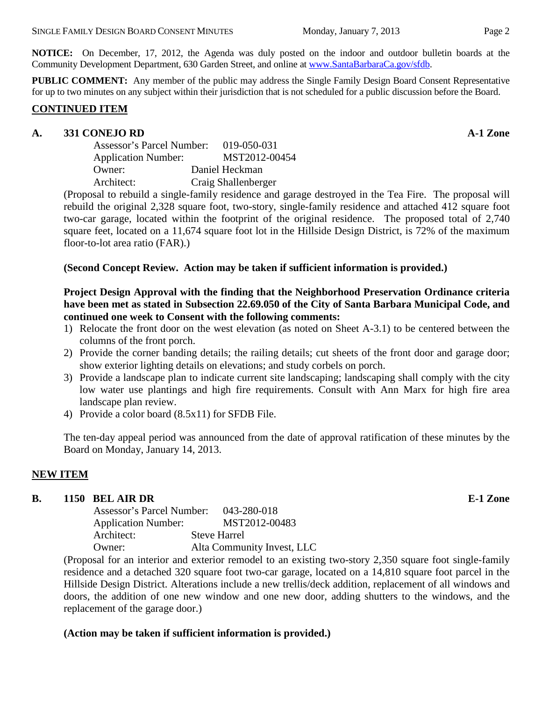**NOTICE:** On December, 17, 2012, the Agenda was duly posted on the indoor and outdoor bulletin boards at the Community Development Department, 630 Garden Street, and online at [www.SantaBarbaraCa.gov/sfdb.](http://www.santabarbaraca.gov/sfdb)

**PUBLIC COMMENT:** Any member of the public may address the Single Family Design Board Consent Representative for up to two minutes on any subject within their jurisdiction that is not scheduled for a public discussion before the Board.

#### **CONTINUED ITEM**

### **A. 331 CONEJO RD A-1 Zone**

| Assessor's Parcel Number:  | 019-050-031         |  |
|----------------------------|---------------------|--|
| <b>Application Number:</b> | MST2012-00454       |  |
| Owner:                     | Daniel Heckman      |  |
| Architect:                 | Craig Shallenberger |  |

(Proposal to rebuild a single-family residence and garage destroyed in the Tea Fire. The proposal will rebuild the original 2,328 square foot, two-story, single-family residence and attached 412 square foot two-car garage, located within the footprint of the original residence. The proposed total of 2,740 square feet, located on a 11,674 square foot lot in the Hillside Design District, is 72% of the maximum floor-to-lot area ratio (FAR).)

### **(Second Concept Review. Action may be taken if sufficient information is provided.)**

**Project Design Approval with the finding that the Neighborhood Preservation Ordinance criteria have been met as stated in Subsection 22.69.050 of the City of Santa Barbara Municipal Code, and continued one week to Consent with the following comments:** 

- 1) Relocate the front door on the west elevation (as noted on Sheet A-3.1) to be centered between the columns of the front porch.
- 2) Provide the corner banding details; the railing details; cut sheets of the front door and garage door; show exterior lighting details on elevations; and study corbels on porch.
- 3) Provide a landscape plan to indicate current site landscaping; landscaping shall comply with the city low water use plantings and high fire requirements. Consult with Ann Marx for high fire area landscape plan review.
- 4) Provide a color board (8.5x11) for SFDB File.

The ten-day appeal period was announced from the date of approval ratification of these minutes by the Board on Monday, January 14, 2013.

# **NEW ITEM**

#### **B. 1150 BEL AIR DR E-1 Zone**

Assessor's Parcel Number: 043-280-018 Application Number: MST2012-00483 Architect: Steve Harrel Owner: Alta Community Invest, LLC

(Proposal for an interior and exterior remodel to an existing two-story 2,350 square foot single-family residence and a detached 320 square foot two-car garage, located on a 14,810 square foot parcel in the Hillside Design District. Alterations include a new trellis/deck addition, replacement of all windows and doors, the addition of one new window and one new door, adding shutters to the windows, and the replacement of the garage door.)

# **(Action may be taken if sufficient information is provided.)**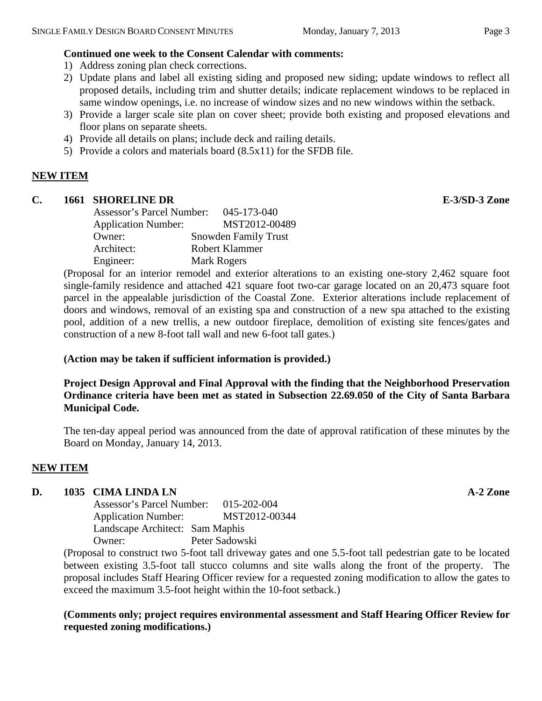- 1) Address zoning plan check corrections.
- 2) Update plans and label all existing siding and proposed new siding; update windows to reflect all proposed details, including trim and shutter details; indicate replacement windows to be replaced in same window openings, i.e. no increase of window sizes and no new windows within the setback.
- 3) Provide a larger scale site plan on cover sheet; provide both existing and proposed elevations and floor plans on separate sheets.
- 4) Provide all details on plans; include deck and railing details.
- 5) Provide a colors and materials board (8.5x11) for the SFDB file.

## **NEW ITEM**

#### **C. 1661 SHORELINE DR E-3/SD-3 Zone**

| Assessor's Parcel Number:  | 045-173-040                 |
|----------------------------|-----------------------------|
| <b>Application Number:</b> | MST2012-00489               |
| Owner:                     | <b>Snowden Family Trust</b> |
| Architect:                 | Robert Klammer              |
| Engineer:                  | Mark Rogers                 |

(Proposal for an interior remodel and exterior alterations to an existing one-story 2,462 square foot single-family residence and attached 421 square foot two-car garage located on an 20,473 square foot parcel in the appealable jurisdiction of the Coastal Zone. Exterior alterations include replacement of doors and windows, removal of an existing spa and construction of a new spa attached to the existing pool, addition of a new trellis, a new outdoor fireplace, demolition of existing site fences/gates and construction of a new 8-foot tall wall and new 6-foot tall gates.)

#### **(Action may be taken if sufficient information is provided.)**

## **Project Design Approval and Final Approval with the finding that the Neighborhood Preservation Ordinance criteria have been met as stated in Subsection 22.69.050 of the City of Santa Barbara Municipal Code.**

The ten-day appeal period was announced from the date of approval ratification of these minutes by the Board on Monday, January 14, 2013.

# **NEW ITEM**

#### **D. 1035 CIMA LINDA LN A-2 Zone**

Assessor's Parcel Number: 015-202-004 Application Number: MST2012-00344 Landscape Architect: Sam Maphis Owner: Peter Sadowski

(Proposal to construct two 5-foot tall driveway gates and one 5.5-foot tall pedestrian gate to be located between existing 3.5-foot tall stucco columns and site walls along the front of the property. The proposal includes Staff Hearing Officer review for a requested zoning modification to allow the gates to exceed the maximum 3.5-foot height within the 10-foot setback.)

**(Comments only; project requires environmental assessment and Staff Hearing Officer Review for requested zoning modifications.)**